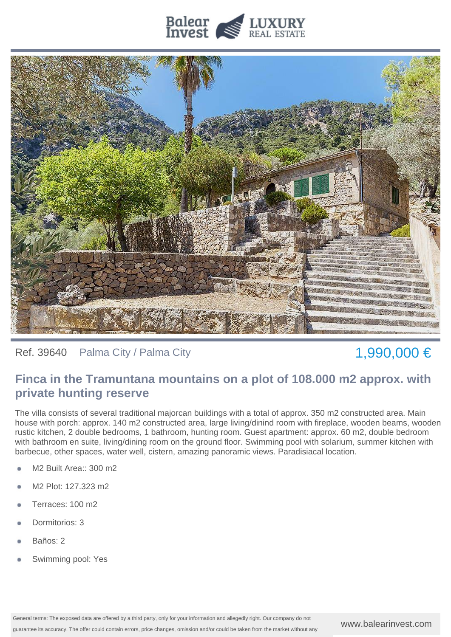



Ref. 39640 Palma City / Palma City  $1,990,000 \in$ 

## **Finca in the Tramuntana mountains on a plot of 108.000 m2 approx. with private hunting reserve**

The villa consists of several traditional majorcan buildings with a total of approx. 350 m2 constructed area. Main house with porch: approx. 140 m2 constructed area, large living/dinind room with fireplace, wooden beams, wooden rustic kitchen, 2 double bedrooms, 1 bathroom, hunting room. Guest apartment: approx. 60 m2, double bedroom with bathroom en suite, living/dining room on the ground floor. Swimming pool with solarium, summer kitchen with barbecue, other spaces, water well, cistern, amazing panoramic views. Paradisiacal location.

- M2 Built Area:: 300 m2
- M2 Plot: 127.323 m2
- Terraces: 100 m2
- Dormitorios: 3
- Baños: 2
- Swimming pool: Yes

www.balearinvest.com